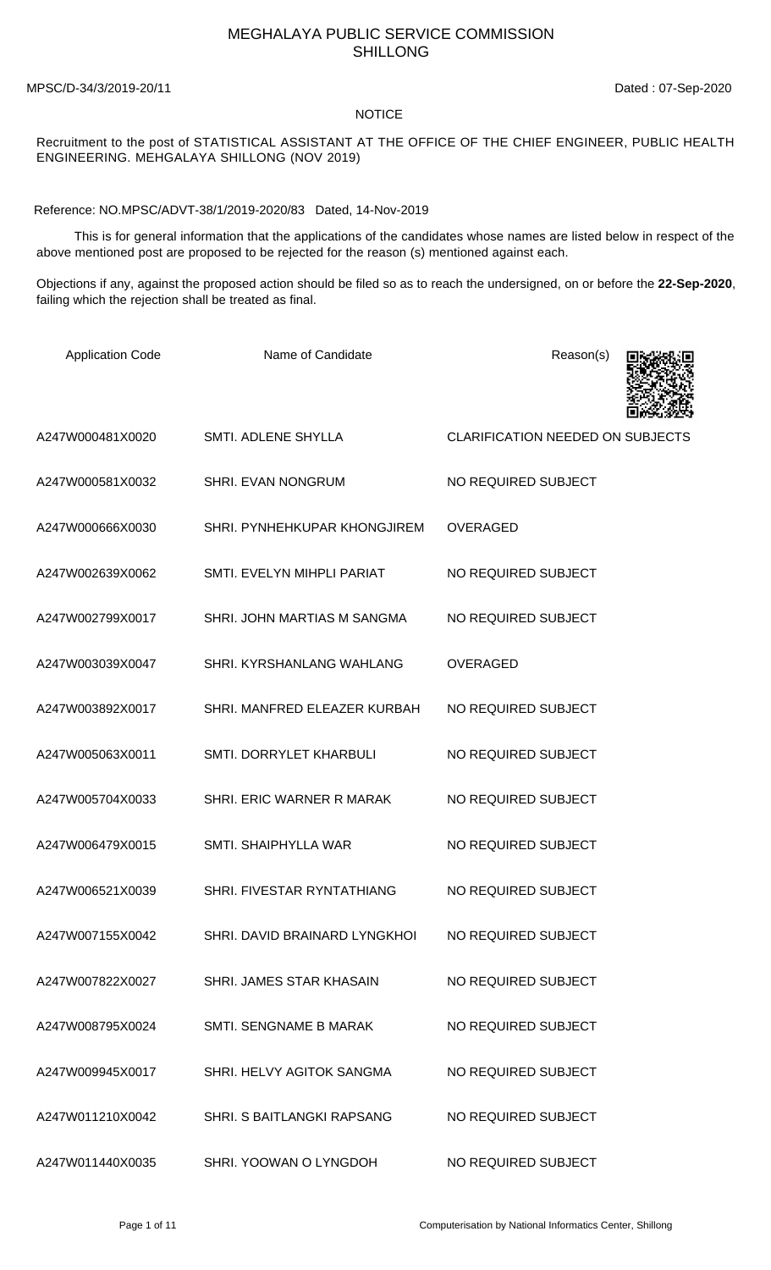## MEGHALAYA PUBLIC SERVICE COMMISSION SHILLONG

MPSC/D-34/3/2019-20/11 Dated : 07-Sep-2020

## **NOTICE**

## Recruitment to the post of STATISTICAL ASSISTANT AT THE OFFICE OF THE CHIEF ENGINEER, PUBLIC HEALTH ENGINEERING. MEHGALAYA SHILLONG (NOV 2019)

Reference: NO.MPSC/ADVT-38/1/2019-2020/83 Dated, 14-Nov-2019

 This is for general information that the applications of the candidates whose names are listed below in respect of the above mentioned post are proposed to be rejected for the reason (s) mentioned against each.

Objections if any, against the proposed action should be filed so as to reach the undersigned, on or before the **22-Sep-2020**, failing which the rejection shall be treated as final.

| <b>Application Code</b> | Name of Candidate                 | Reason(s)                               |
|-------------------------|-----------------------------------|-----------------------------------------|
| A247W000481X0020        | SMTI. ADLENE SHYLLA               | <b>CLARIFICATION NEEDED ON SUBJECTS</b> |
| A247W000581X0032        | SHRI. EVAN NONGRUM                | NO REQUIRED SUBJECT                     |
| A247W000666X0030        | SHRI. PYNHEHKUPAR KHONGJIREM      | <b>OVERAGED</b>                         |
| A247W002639X0062        | SMTI. EVELYN MIHPLI PARIAT        | NO REQUIRED SUBJECT                     |
| A247W002799X0017        | SHRI. JOHN MARTIAS M SANGMA       | NO REQUIRED SUBJECT                     |
| A247W003039X0047        | SHRI. KYRSHANLANG WAHLANG         | <b>OVERAGED</b>                         |
| A247W003892X0017        | SHRI. MANFRED ELEAZER KURBAH      | NO REQUIRED SUBJECT                     |
| A247W005063X0011        | SMTI. DORRYLET KHARBULI           | NO REQUIRED SUBJECT                     |
| A247W005704X0033        | SHRI. ERIC WARNER R MARAK         | NO REQUIRED SUBJECT                     |
| A247W006479X0015        | SMTI. SHAIPHYLLA WAR              | NO REQUIRED SUBJECT                     |
| A247W006521X0039        | SHRI. FIVESTAR RYNTATHIANG        | NO REQUIRED SUBJECT                     |
| A247W007155X0042        | SHRI, DAVID BRAINARD LYNGKHOL     | NO REQUIRED SUBJECT                     |
| A247W007822X0027        | SHRI. JAMES STAR KHASAIN          | NO REQUIRED SUBJECT                     |
| A247W008795X0024        | SMTI. SENGNAME B MARAK            | NO REQUIRED SUBJECT                     |
| A247W009945X0017        | SHRI. HELVY AGITOK SANGMA         | NO REQUIRED SUBJECT                     |
| A247W011210X0042        | <b>SHRI, S BAITLANGKI RAPSANG</b> | NO REQUIRED SUBJECT                     |
| A247W011440X0035        | SHRI. YOOWAN O LYNGDOH            | NO REQUIRED SUBJECT                     |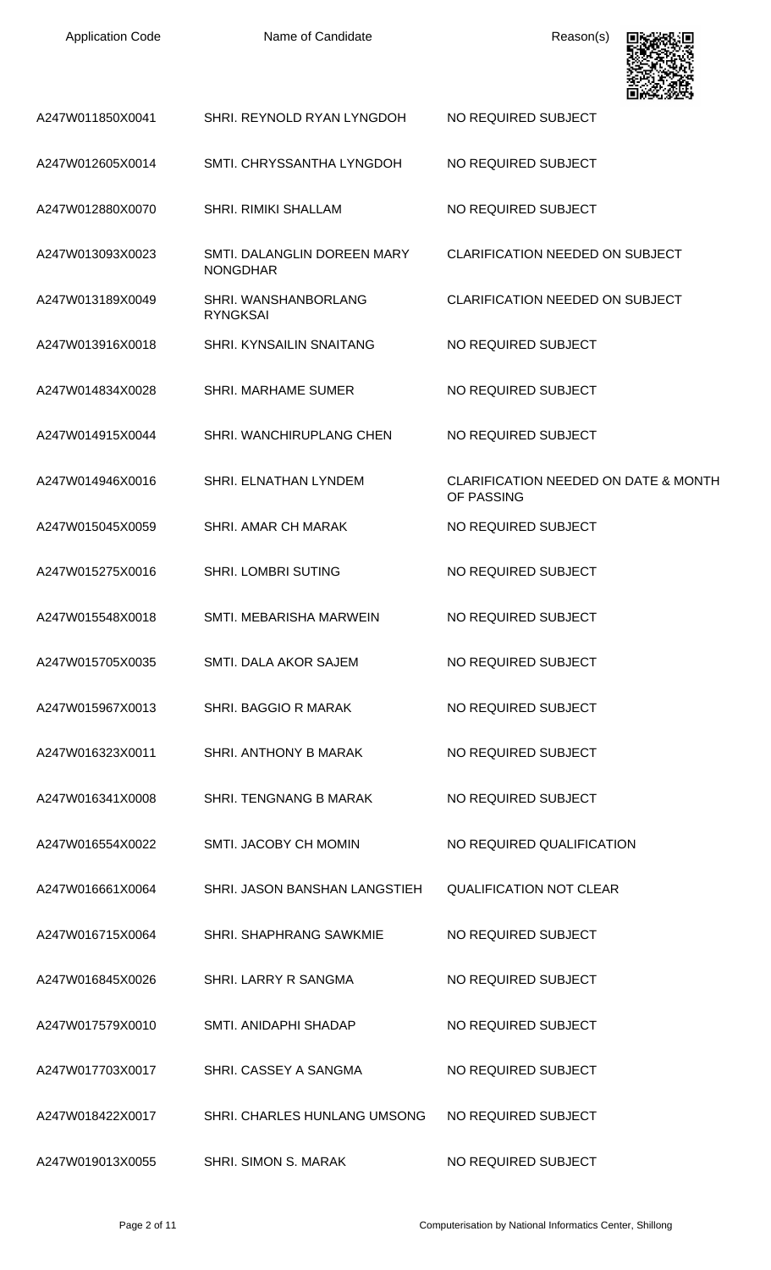| <b>Application Code</b> | Name of Candidate                              | Reason(s)                                                     |
|-------------------------|------------------------------------------------|---------------------------------------------------------------|
| A247W011850X0041        | SHRI. REYNOLD RYAN LYNGDOH                     | NO REQUIRED SUBJECT                                           |
| A247W012605X0014        | SMTI. CHRYSSANTHA LYNGDOH                      | NO REQUIRED SUBJECT                                           |
| A247W012880X0070        | <b>SHRI. RIMIKI SHALLAM</b>                    | NO REQUIRED SUBJECT                                           |
| A247W013093X0023        | SMTI. DALANGLIN DOREEN MARY<br><b>NONGDHAR</b> | <b>CLARIFICATION NEEDED ON SUBJECT</b>                        |
| A247W013189X0049        | SHRI. WANSHANBORLANG<br><b>RYNGKSAI</b>        | <b>CLARIFICATION NEEDED ON SUBJECT</b>                        |
| A247W013916X0018        | <b>SHRI. KYNSAILIN SNAITANG</b>                | NO REQUIRED SUBJECT                                           |
| A247W014834X0028        | <b>SHRI. MARHAME SUMER</b>                     | NO REQUIRED SUBJECT                                           |
| A247W014915X0044        | SHRI. WANCHIRUPLANG CHEN                       | NO REQUIRED SUBJECT                                           |
| A247W014946X0016        | SHRI. ELNATHAN LYNDEM                          | <b>CLARIFICATION NEEDED ON DATE &amp; MONTH</b><br>OF PASSING |
| A247W015045X0059        | <b>SHRI. AMAR CH MARAK</b>                     | NO REQUIRED SUBJECT                                           |
| A247W015275X0016        | <b>SHRI. LOMBRI SUTING</b>                     | NO REQUIRED SUBJECT                                           |
| A247W015548X0018        | SMTI. MEBARISHA MARWEIN                        | NO REQUIRED SUBJECT                                           |
| A247W015705X0035        | SMTI. DALA AKOR SAJEM                          | NO REQUIRED SUBJECT                                           |
| A247W015967X0013        | SHRI. BAGGIO R MARAK                           | NO REQUIRED SUBJECT                                           |
| A247W016323X0011        | SHRI. ANTHONY B MARAK                          | NO REQUIRED SUBJECT                                           |
| A247W016341X0008        | SHRI. TENGNANG B MARAK                         | NO REQUIRED SUBJECT                                           |
| A247W016554X0022        | SMTI. JACOBY CH MOMIN                          | NO REQUIRED QUALIFICATION                                     |
| A247W016661X0064        | SHRI. JASON BANSHAN LANGSTIEH                  | <b>QUALIFICATION NOT CLEAR</b>                                |
| A247W016715X0064        | SHRI. SHAPHRANG SAWKMIE                        | NO REQUIRED SUBJECT                                           |
| A247W016845X0026        | SHRI. LARRY R SANGMA                           | NO REQUIRED SUBJECT                                           |
| A247W017579X0010        | SMTI. ANIDAPHI SHADAP                          | NO REQUIRED SUBJECT                                           |
| A247W017703X0017        | SHRI. CASSEY A SANGMA                          | NO REQUIRED SUBJECT                                           |
| A247W018422X0017        | <b>SHRI. CHARLES HUNLANG UMSONG</b>            | NO REQUIRED SUBJECT                                           |
| A247W019013X0055        | SHRI. SIMON S. MARAK                           | NO REQUIRED SUBJECT                                           |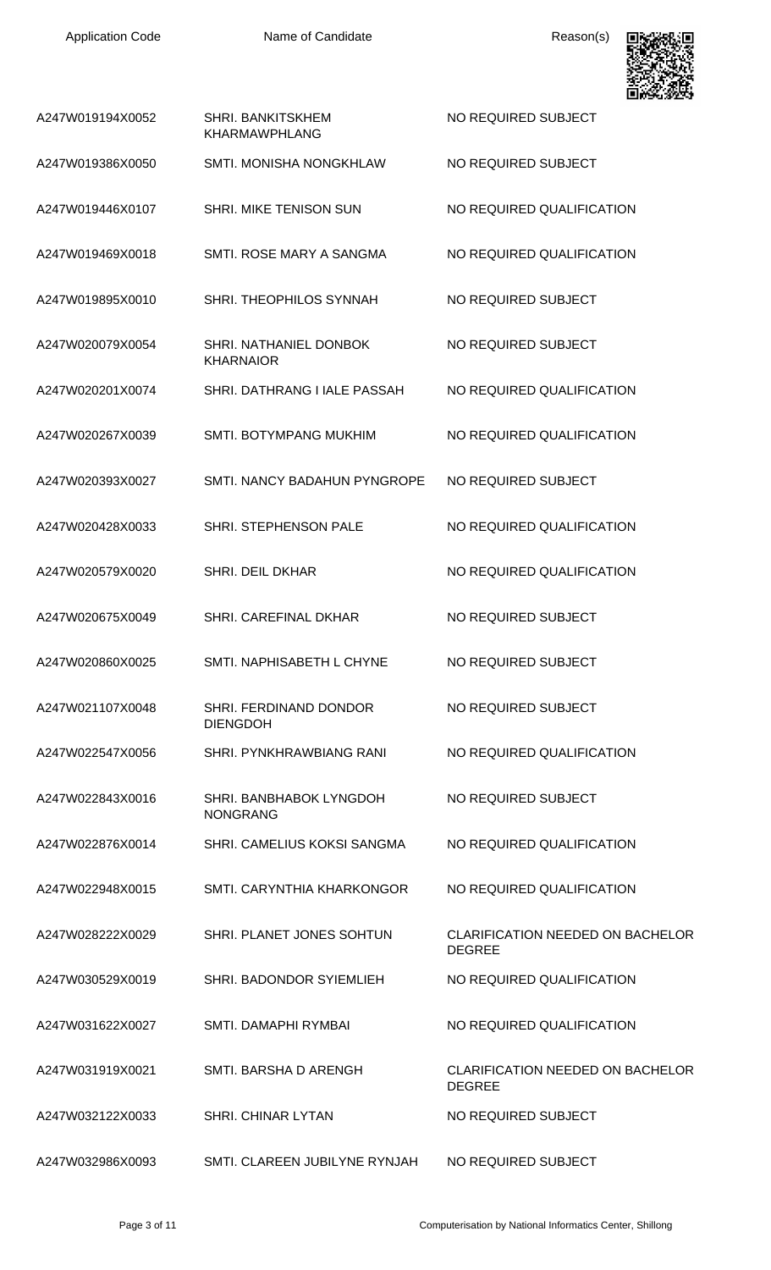

| A247W019194X0052 | <b>SHRI. BANKITSKHEM</b><br><b>KHARMAWPHLANG</b> | NO REQUIRED SUBJECT                                      |
|------------------|--------------------------------------------------|----------------------------------------------------------|
| A247W019386X0050 | <b>SMTI. MONISHA NONGKHLAW</b>                   | NO REQUIRED SUBJECT                                      |
| A247W019446X0107 | SHRI. MIKE TENISON SUN                           | NO REQUIRED QUALIFICATION                                |
| A247W019469X0018 | SMTI, ROSE MARY A SANGMA                         | NO REQUIRED QUALIFICATION                                |
| A247W019895X0010 | SHRI. THEOPHILOS SYNNAH                          | NO REQUIRED SUBJECT                                      |
| A247W020079X0054 | SHRI. NATHANIEL DONBOK<br><b>KHARNAIOR</b>       | NO REQUIRED SUBJECT                                      |
| A247W020201X0074 | SHRI. DATHRANG I IALE PASSAH                     | NO REQUIRED QUALIFICATION                                |
| A247W020267X0039 | <b>SMTI. BOTYMPANG MUKHIM</b>                    | NO REQUIRED QUALIFICATION                                |
| A247W020393X0027 | <b>SMTI. NANCY BADAHUN PYNGROPE</b>              | NO REQUIRED SUBJECT                                      |
| A247W020428X0033 | SHRI. STEPHENSON PALE                            | NO REQUIRED QUALIFICATION                                |
| A247W020579X0020 | SHRI. DEIL DKHAR                                 | NO REQUIRED QUALIFICATION                                |
| A247W020675X0049 | SHRI. CAREFINAL DKHAR                            | NO REQUIRED SUBJECT                                      |
| A247W020860X0025 | SMTI. NAPHISABETH L CHYNE                        | NO REQUIRED SUBJECT                                      |
| A247W021107X0048 | SHRI. FERDINAND DONDOR<br><b>DIENGDOH</b>        | NO REQUIRED SUBJECT                                      |
| A247W022547X0056 | SHRI. PYNKHRAWBIANG RANI                         | NO REQUIRED QUALIFICATION                                |
| A247W022843X0016 | SHRI. BANBHABOK LYNGDOH<br><b>NONGRANG</b>       | NO REQUIRED SUBJECT                                      |
| A247W022876X0014 | SHRI. CAMELIUS KOKSI SANGMA                      | NO REQUIRED QUALIFICATION                                |
| A247W022948X0015 | SMTI. CARYNTHIA KHARKONGOR                       | NO REQUIRED QUALIFICATION                                |
| A247W028222X0029 | SHRI. PLANET JONES SOHTUN                        | <b>CLARIFICATION NEEDED ON BACHELOR</b><br><b>DEGREE</b> |
| A247W030529X0019 | SHRI. BADONDOR SYIEMLIEH                         | NO REQUIRED QUALIFICATION                                |
| A247W031622X0027 | SMTI. DAMAPHI RYMBAI                             | NO REQUIRED QUALIFICATION                                |
| A247W031919X0021 | SMTI. BARSHA D ARENGH                            | <b>CLARIFICATION NEEDED ON BACHELOR</b><br><b>DEGREE</b> |
| A247W032122X0033 | <b>SHRI, CHINAR LYTAN</b>                        | NO REQUIRED SUBJECT                                      |
| A247W032986X0093 | SMTI. CLAREEN JUBILYNE RYNJAH                    | NO REQUIRED SUBJECT                                      |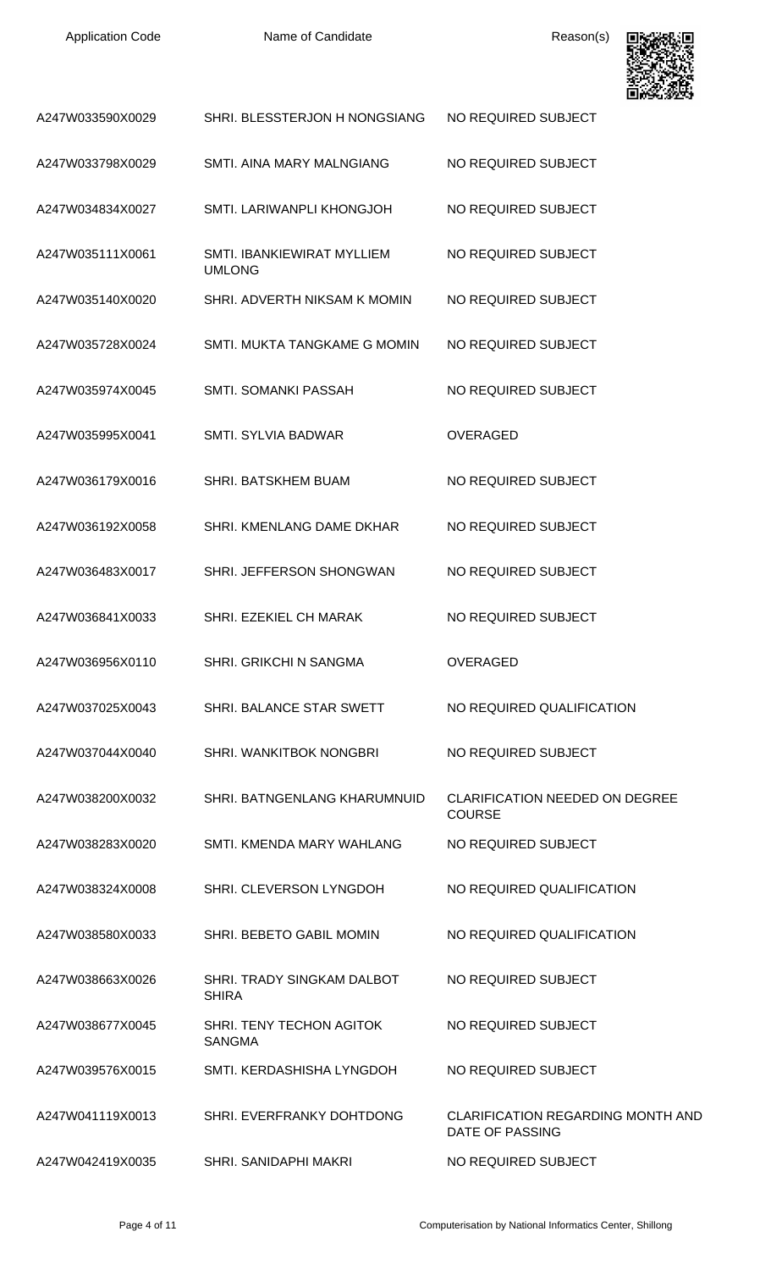Name of Candidate Reason(s)



| A247W033590X0029 | SHRI. BLESSTERJON H NONGSIANG                     | NO REQUIRED SUBJECT                                         |
|------------------|---------------------------------------------------|-------------------------------------------------------------|
| A247W033798X0029 | SMTI. AINA MARY MALNGIANG                         | NO REQUIRED SUBJECT                                         |
| A247W034834X0027 | SMTI. LARIWANPLI KHONGJOH                         | NO REQUIRED SUBJECT                                         |
| A247W035111X0061 | SMTI. IBANKIEWIRAT MYLLIEM<br><b>UMLONG</b>       | NO REQUIRED SUBJECT                                         |
| A247W035140X0020 | SHRI. ADVERTH NIKSAM K MOMIN                      | NO REQUIRED SUBJECT                                         |
| A247W035728X0024 | SMTI. MUKTA TANGKAME G MOMIN                      | NO REQUIRED SUBJECT                                         |
| A247W035974X0045 | <b>SMTI. SOMANKI PASSAH</b>                       | NO REQUIRED SUBJECT                                         |
| A247W035995X0041 | <b>SMTI. SYLVIA BADWAR</b>                        | <b>OVERAGED</b>                                             |
| A247W036179X0016 | SHRI. BATSKHEM BUAM                               | NO REQUIRED SUBJECT                                         |
| A247W036192X0058 | SHRI. KMENLANG DAME DKHAR                         | NO REQUIRED SUBJECT                                         |
| A247W036483X0017 | SHRI. JEFFERSON SHONGWAN                          | NO REQUIRED SUBJECT                                         |
| A247W036841X0033 | SHRI. EZEKIEL CH MARAK                            | NO REQUIRED SUBJECT                                         |
| A247W036956X0110 | SHRI. GRIKCHI N SANGMA                            | <b>OVERAGED</b>                                             |
| A247W037025X0043 | SHRI. BALANCE STAR SWETT                          | NO REQUIRED QUALIFICATION                                   |
| A247W037044X0040 | SHRI. WANKITBOK NONGBRI                           | NO REQUIRED SUBJECT                                         |
| A247W038200X0032 | SHRI, BATNGENLANG KHARUMNUID                      | <b>CLARIFICATION NEEDED ON DEGREE</b><br><b>COURSE</b>      |
| A247W038283X0020 | SMTI. KMENDA MARY WAHLANG                         | NO REQUIRED SUBJECT                                         |
| A247W038324X0008 | SHRI. CLEVERSON LYNGDOH                           | NO REQUIRED QUALIFICATION                                   |
| A247W038580X0033 | SHRI. BEBETO GABIL MOMIN                          | NO REQUIRED QUALIFICATION                                   |
| A247W038663X0026 | <b>SHRI. TRADY SINGKAM DALBOT</b><br><b>SHIRA</b> | NO REQUIRED SUBJECT                                         |
| A247W038677X0045 | SHRI. TENY TECHON AGITOK<br><b>SANGMA</b>         | NO REQUIRED SUBJECT                                         |
| A247W039576X0015 | SMTI. KERDASHISHA LYNGDOH                         | NO REQUIRED SUBJECT                                         |
| A247W041119X0013 | SHRI. EVERFRANKY DOHTDONG                         | <b>CLARIFICATION REGARDING MONTH AND</b><br>DATE OF PASSING |
| A247W042419X0035 | <b>SHRI. SANIDAPHI MAKRI</b>                      | NO REQUIRED SUBJECT                                         |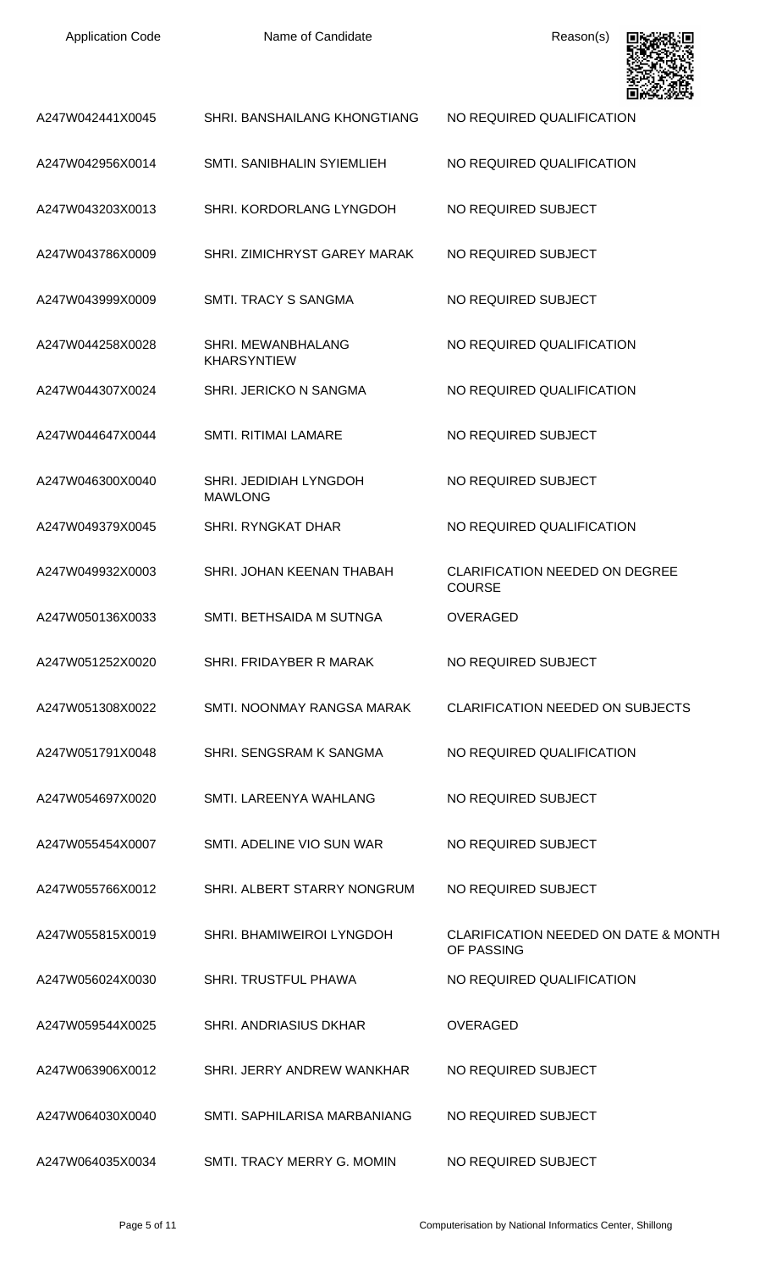| <b>Application Code</b> | Name of Candidate                        | Reason(s)                                                     |
|-------------------------|------------------------------------------|---------------------------------------------------------------|
| A247W042441X0045        | SHRI. BANSHAILANG KHONGTIANG             | NO REQUIRED QUALIFICATION                                     |
| A247W042956X0014        | SMTI, SANIBHALIN SYIEMLIEH               | NO REQUIRED QUALIFICATION                                     |
| A247W043203X0013        | SHRI. KORDORLANG LYNGDOH                 | NO REQUIRED SUBJECT                                           |
| A247W043786X0009        | SHRI. ZIMICHRYST GAREY MARAK             | NO REQUIRED SUBJECT                                           |
| A247W043999X0009        | <b>SMTI. TRACY S SANGMA</b>              | NO REQUIRED SUBJECT                                           |
| A247W044258X0028        | SHRI. MEWANBHALANG<br><b>KHARSYNTIEW</b> | NO REQUIRED QUALIFICATION                                     |
| A247W044307X0024        | SHRI. JERICKO N SANGMA                   | NO REQUIRED QUALIFICATION                                     |
| A247W044647X0044        | <b>SMTI. RITIMAI LAMARE</b>              | NO REQUIRED SUBJECT                                           |
| A247W046300X0040        | SHRI. JEDIDIAH LYNGDOH<br><b>MAWLONG</b> | NO REQUIRED SUBJECT                                           |
| A247W049379X0045        | <b>SHRI. RYNGKAT DHAR</b>                | NO REQUIRED QUALIFICATION                                     |
| A247W049932X0003        | SHRI. JOHAN KEENAN THABAH                | <b>CLARIFICATION NEEDED ON DEGREE</b><br><b>COURSE</b>        |
| A247W050136X0033        | SMTI. BETHSAIDA M SUTNGA                 | <b>OVERAGED</b>                                               |
| A247W051252X0020        | SHRI. FRIDAYBER R MARAK                  | NO REQUIRED SUBJECT                                           |
| A247W051308X0022        | SMTI. NOONMAY RANGSA MARAK               | <b>CLARIFICATION NEEDED ON SUBJECTS</b>                       |
| A247W051791X0048        | SHRI. SENGSRAM K SANGMA                  | NO REQUIRED QUALIFICATION                                     |
| A247W054697X0020        | SMTI. LAREENYA WAHLANG                   | NO REQUIRED SUBJECT                                           |
| A247W055454X0007        | SMTI. ADELINE VIO SUN WAR                | NO REQUIRED SUBJECT                                           |
| A247W055766X0012        | SHRI. ALBERT STARRY NONGRUM              | NO REQUIRED SUBJECT                                           |
| A247W055815X0019        | SHRI. BHAMIWEIROI LYNGDOH                | <b>CLARIFICATION NEEDED ON DATE &amp; MONTH</b><br>OF PASSING |
| A247W056024X0030        | <b>SHRI. TRUSTFUL PHAWA</b>              | NO REQUIRED QUALIFICATION                                     |
| A247W059544X0025        | <b>SHRI, ANDRIASIUS DKHAR</b>            | OVERAGED                                                      |
| A247W063906X0012        | SHRI. JERRY ANDREW WANKHAR               | NO REQUIRED SUBJECT                                           |
| A247W064030X0040        | SMTI. SAPHILARISA MARBANIANG             | NO REQUIRED SUBJECT                                           |
| A247W064035X0034        | SMTI. TRACY MERRY G. MOMIN               | NO REQUIRED SUBJECT                                           |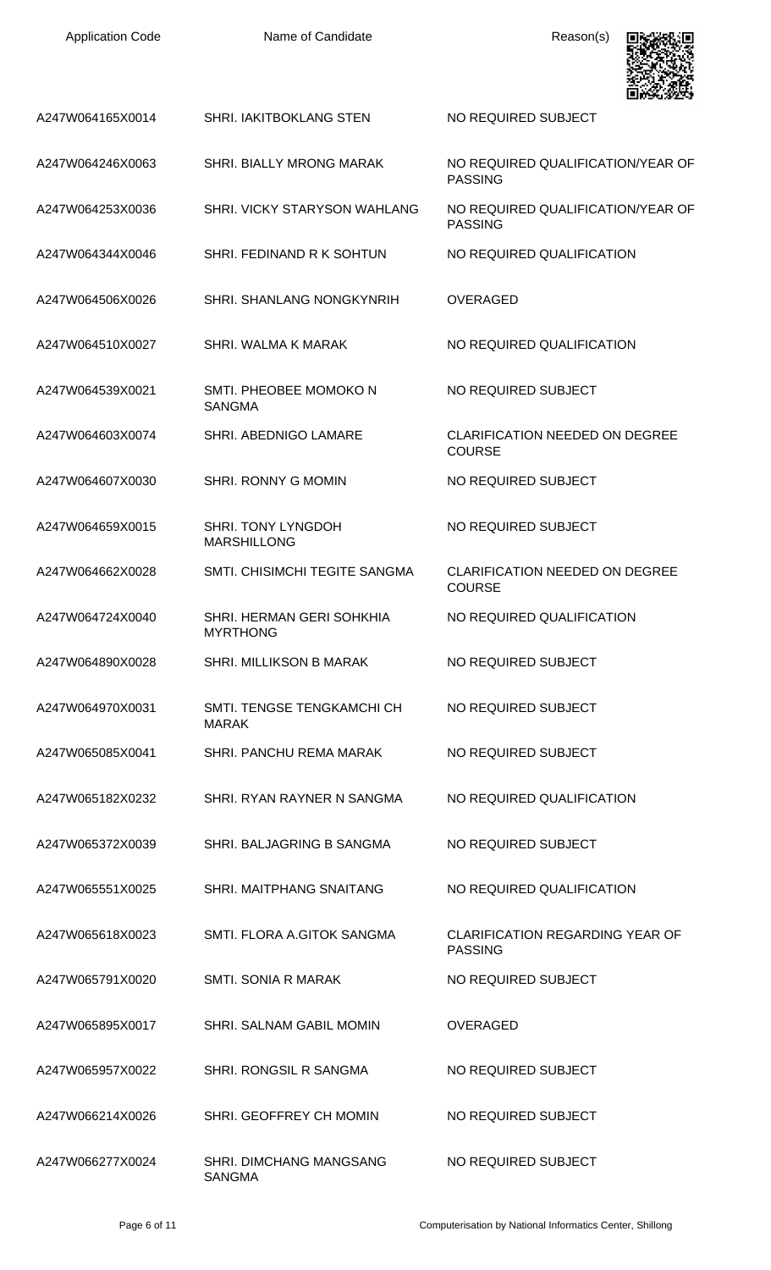| <b>Application Code</b> | Name of Candidate                            | Reason(s)                                              |
|-------------------------|----------------------------------------------|--------------------------------------------------------|
| A247W064165X0014        | SHRI. IAKITBOKLANG STEN                      | NO REQUIRED SUBJECT                                    |
| A247W064246X0063        | SHRI. BIALLY MRONG MARAK                     | NO REQUIRED QUALIFICATION/YEAR OF<br><b>PASSING</b>    |
| A247W064253X0036        | SHRI. VICKY STARYSON WAHLANG                 | NO REQUIRED QUALIFICATION/YEAR OF<br><b>PASSING</b>    |
| A247W064344X0046        | SHRI. FEDINAND R K SOHTUN                    | NO REQUIRED QUALIFICATION                              |
| A247W064506X0026        | SHRI. SHANLANG NONGKYNRIH                    | <b>OVERAGED</b>                                        |
| A247W064510X0027        | SHRI. WALMA K MARAK                          | NO REQUIRED QUALIFICATION                              |
| A247W064539X0021        | SMTI. PHEOBEE MOMOKO N<br><b>SANGMA</b>      | NO REQUIRED SUBJECT                                    |
| A247W064603X0074        | SHRI. ABEDNIGO LAMARE                        | <b>CLARIFICATION NEEDED ON DEGREE</b><br><b>COURSE</b> |
| A247W064607X0030        | SHRI. RONNY G MOMIN                          | NO REQUIRED SUBJECT                                    |
| A247W064659X0015        | SHRI. TONY LYNGDOH<br><b>MARSHILLONG</b>     | NO REQUIRED SUBJECT                                    |
| A247W064662X0028        | SMTI. CHISIMCHI TEGITE SANGMA                | <b>CLARIFICATION NEEDED ON DEGREE</b><br><b>COURSE</b> |
| A247W064724X0040        | SHRI. HERMAN GERI SOHKHIA<br><b>MYRTHONG</b> | NO REQUIRED QUALIFICATION                              |
| A247W064890X0028        | SHRI. MILLIKSON B MARAK                      | NO REQUIRED SUBJECT                                    |
| A247W064970X0031        | SMTI. TENGSE TENGKAMCHI CH<br><b>MARAK</b>   | NO REQUIRED SUBJECT                                    |
| A247W065085X0041        | SHRI. PANCHU REMA MARAK                      | NO REQUIRED SUBJECT                                    |
| A247W065182X0232        | SHRI. RYAN RAYNER N SANGMA                   | NO REQUIRED QUALIFICATION                              |
| A247W065372X0039        | SHRI. BALJAGRING B SANGMA                    | NO REQUIRED SUBJECT                                    |
| A247W065551X0025        | SHRI. MAITPHANG SNAITANG                     | NO REQUIRED QUALIFICATION                              |
| A247W065618X0023        | SMTI. FLORA A.GITOK SANGMA                   | CLARIFICATION REGARDING YEAR OF<br><b>PASSING</b>      |
| A247W065791X0020        | SMTI. SONIA R MARAK                          | NO REQUIRED SUBJECT                                    |
| A247W065895X0017        | SHRI. SALNAM GABIL MOMIN                     | <b>OVERAGED</b>                                        |
| A247W065957X0022        | SHRI. RONGSIL R SANGMA                       | NO REQUIRED SUBJECT                                    |
| A247W066214X0026        | SHRI. GEOFFREY CH MOMIN                      | NO REQUIRED SUBJECT                                    |
| A247W066277X0024        | SHRI. DIMCHANG MANGSANG<br><b>SANGMA</b>     | NO REQUIRED SUBJECT                                    |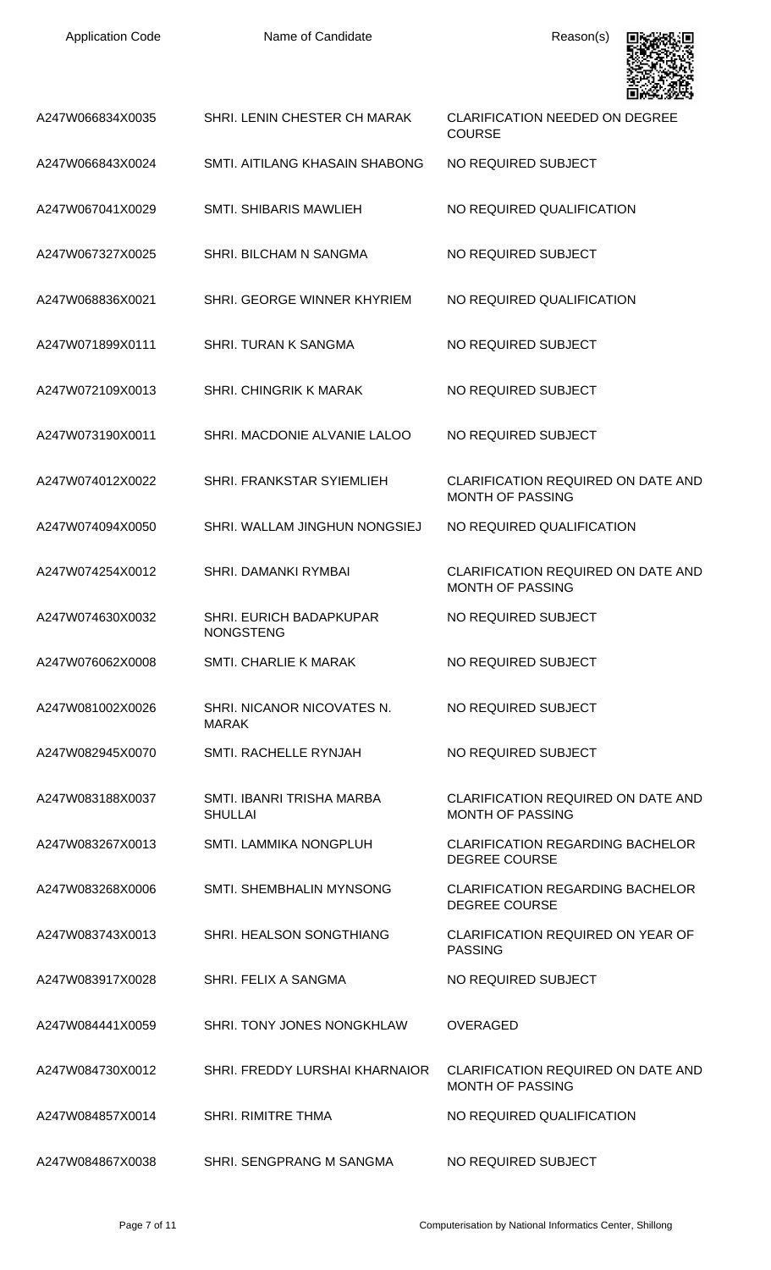| <b>Application Code</b> |  |
|-------------------------|--|
|-------------------------|--|

Name of Candidate Reason(s)



| A247W066834X0035 | SHRI. LENIN CHESTER CH MARAK                       | <b>CLARIFICATION NEEDED ON DEGREE</b><br><b>COURSE</b>               |
|------------------|----------------------------------------------------|----------------------------------------------------------------------|
| A247W066843X0024 | SMTI, AITILANG KHASAIN SHABONG                     | NO REQUIRED SUBJECT                                                  |
| A247W067041X0029 | <b>SMTI. SHIBARIS MAWLIEH</b>                      | NO REQUIRED QUALIFICATION                                            |
| A247W067327X0025 | SHRI. BILCHAM N SANGMA                             | NO REQUIRED SUBJECT                                                  |
| A247W068836X0021 | SHRI. GEORGE WINNER KHYRIEM                        | NO REQUIRED QUALIFICATION                                            |
| A247W071899X0111 | <b>SHRI. TURAN K SANGMA</b>                        | NO REQUIRED SUBJECT                                                  |
| A247W072109X0013 | <b>SHRI. CHINGRIK K MARAK</b>                      | NO REQUIRED SUBJECT                                                  |
| A247W073190X0011 | SHRI. MACDONIE ALVANIE LALOO                       | NO REQUIRED SUBJECT                                                  |
| A247W074012X0022 | SHRI. FRANKSTAR SYIEMLIEH                          | CLARIFICATION REQUIRED ON DATE AND<br><b>MONTH OF PASSING</b>        |
| A247W074094X0050 | SHRI. WALLAM JINGHUN NONGSIEJ                      | NO REQUIRED QUALIFICATION                                            |
| A247W074254X0012 | <b>SHRI, DAMANKI RYMBAI</b>                        | <b>CLARIFICATION REQUIRED ON DATE AND</b><br><b>MONTH OF PASSING</b> |
| A247W074630X0032 | <b>SHRI. EURICH BADAPKUPAR</b><br><b>NONGSTENG</b> | NO REQUIRED SUBJECT                                                  |
| A247W076062X0008 | SMTI. CHARLIE K MARAK                              | NO REQUIRED SUBJECT                                                  |
| A247W081002X0026 | SHRI. NICANOR NICOVATES N.<br><b>MARAK</b>         | NO REQUIRED SUBJECT                                                  |
| A247W082945X0070 | SMTI, RACHELLE RYNJAH                              | NO REQUIRED SUBJECT                                                  |
| A247W083188X0037 | SMTL IBANRI TRISHA MARBA<br><b>SHULLAI</b>         | CLARIFICATION REQUIRED ON DATE AND<br><b>MONTH OF PASSING</b>        |
| A247W083267X0013 | <b>SMTI. LAMMIKA NONGPLUH</b>                      | <b>CLARIFICATION REGARDING BACHELOR</b><br><b>DEGREE COURSE</b>      |
| A247W083268X0006 | SMTI. SHEMBHALIN MYNSONG                           | <b>CLARIFICATION REGARDING BACHELOR</b><br><b>DEGREE COURSE</b>      |
| A247W083743X0013 | SHRI. HEALSON SONGTHIANG                           | <b>CLARIFICATION REQUIRED ON YEAR OF</b><br><b>PASSING</b>           |
| A247W083917X0028 | SHRI. FELIX A SANGMA                               | NO REQUIRED SUBJECT                                                  |
| A247W084441X0059 | SHRI. TONY JONES NONGKHLAW                         | <b>OVERAGED</b>                                                      |
| A247W084730X0012 | SHRI. FREDDY LURSHAI KHARNAIOR                     | CLARIFICATION REQUIRED ON DATE AND<br><b>MONTH OF PASSING</b>        |
| A247W084857X0014 | SHRI. RIMITRE THMA                                 | NO REQUIRED QUALIFICATION                                            |
| A247W084867X0038 | SHRI. SENGPRANG M SANGMA                           | NO REQUIRED SUBJECT                                                  |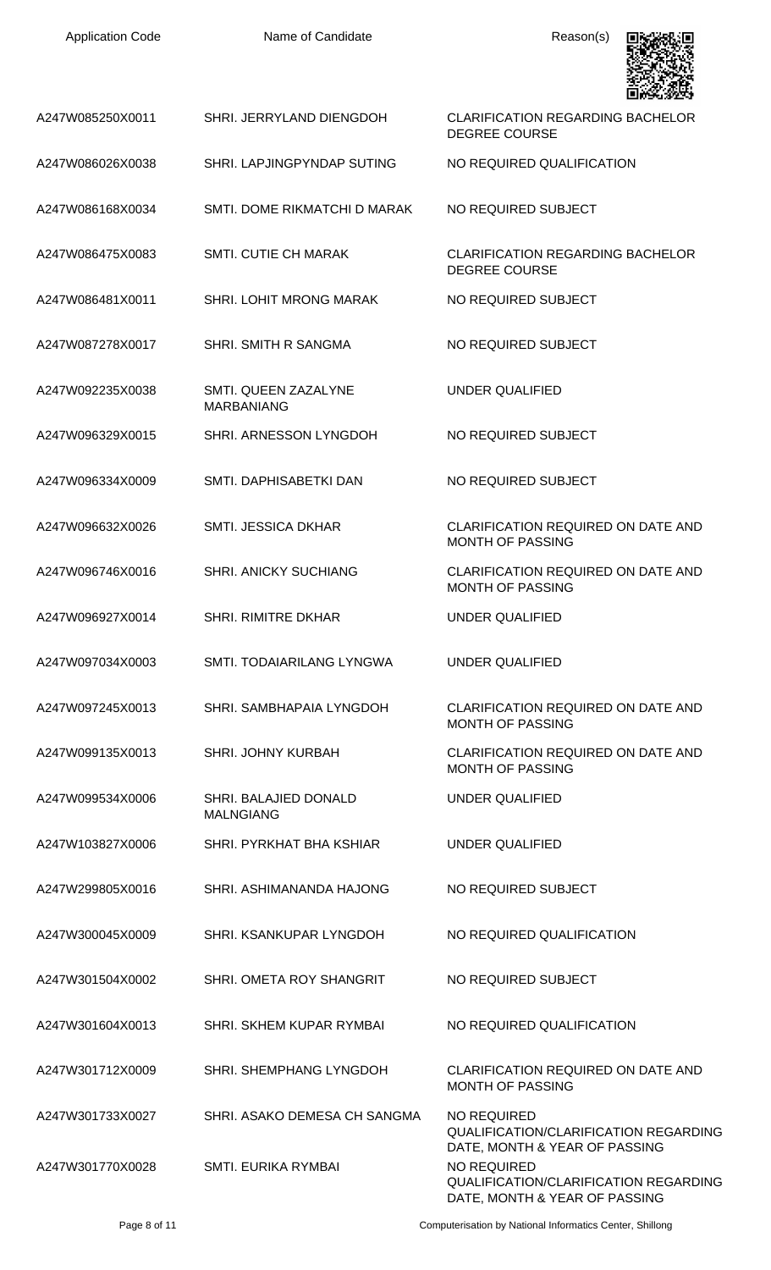| <b>Application Code</b> | Name of Candidate                         | Reason(s)                                                                                    |
|-------------------------|-------------------------------------------|----------------------------------------------------------------------------------------------|
| A247W085250X0011        | SHRI. JERRYLAND DIENGDOH                  | <b>CLARIFICATION REGARDING BACHELOR</b><br><b>DEGREE COURSE</b>                              |
| A247W086026X0038        | SHRI. LAPJINGPYNDAP SUTING                | NO REQUIRED QUALIFICATION                                                                    |
| A247W086168X0034        | SMTI. DOME RIKMATCHI D MARAK              | NO REQUIRED SUBJECT                                                                          |
| A247W086475X0083        | <b>SMTI. CUTIE CH MARAK</b>               | <b>CLARIFICATION REGARDING BACHELOR</b><br><b>DEGREE COURSE</b>                              |
| A247W086481X0011        | SHRI. LOHIT MRONG MARAK                   | NO REQUIRED SUBJECT                                                                          |
| A247W087278X0017        | SHRI. SMITH R SANGMA                      | NO REQUIRED SUBJECT                                                                          |
| A247W092235X0038        | SMTI. QUEEN ZAZALYNE<br><b>MARBANIANG</b> | <b>UNDER QUALIFIED</b>                                                                       |
| A247W096329X0015        | SHRI. ARNESSON LYNGDOH                    | NO REQUIRED SUBJECT                                                                          |
| A247W096334X0009        | SMTI. DAPHISABETKI DAN                    | NO REQUIRED SUBJECT                                                                          |
| A247W096632X0026        | <b>SMTI. JESSICA DKHAR</b>                | CLARIFICATION REQUIRED ON DATE AND<br><b>MONTH OF PASSING</b>                                |
| A247W096746X0016        | <b>SHRI. ANICKY SUCHIANG</b>              | CLARIFICATION REQUIRED ON DATE AND<br><b>MONTH OF PASSING</b>                                |
| A247W096927X0014        | <b>SHRI. RIMITRE DKHAR</b>                | UNDER QUALIFIED                                                                              |
| A247W097034X0003        | SMTI. TODAIARILANG LYNGWA                 | UNDER QUALIFIED                                                                              |
| A247W097245X0013        | SHRI. SAMBHAPAIA LYNGDOH                  | <b>CLARIFICATION REQUIRED ON DATE AND</b><br><b>MONTH OF PASSING</b>                         |
| A247W099135X0013        | <b>SHRI. JOHNY KURBAH</b>                 | <b>CLARIFICATION REQUIRED ON DATE AND</b><br>MONTH OF PASSING                                |
| A247W099534X0006        | SHRI. BALAJIED DONALD<br><b>MALNGIANG</b> | UNDER QUALIFIED                                                                              |
| A247W103827X0006        | SHRI. PYRKHAT BHA KSHIAR                  | UNDER QUALIFIED                                                                              |
| A247W299805X0016        | SHRI. ASHIMANANDA HAJONG                  | NO REQUIRED SUBJECT                                                                          |
| A247W300045X0009        | SHRI. KSANKUPAR LYNGDOH                   | NO REQUIRED QUALIFICATION                                                                    |
| A247W301504X0002        | SHRI. OMETA ROY SHANGRIT                  | NO REQUIRED SUBJECT                                                                          |
| A247W301604X0013        | SHRI. SKHEM KUPAR RYMBAI                  | NO REQUIRED QUALIFICATION                                                                    |
| A247W301712X0009        | SHRI. SHEMPHANG LYNGDOH                   | <b>CLARIFICATION REQUIRED ON DATE AND</b><br><b>MONTH OF PASSING</b>                         |
| A247W301733X0027        | SHRI. ASAKO DEMESA CH SANGMA              | <b>NO REQUIRED</b><br>QUALIFICATION/CLARIFICATION REGARDING                                  |
| A247W301770X0028        | SMTI. EURIKA RYMBAI                       | DATE, MONTH & YEAR OF PASSING<br><b>NO REQUIRED</b><br>QUALIFICATION/CLARIFICATION REGARDING |

Page 8 of 11 Computerisation by National Informatics Center, Shillong

DATE, MONTH & YEAR OF PASSING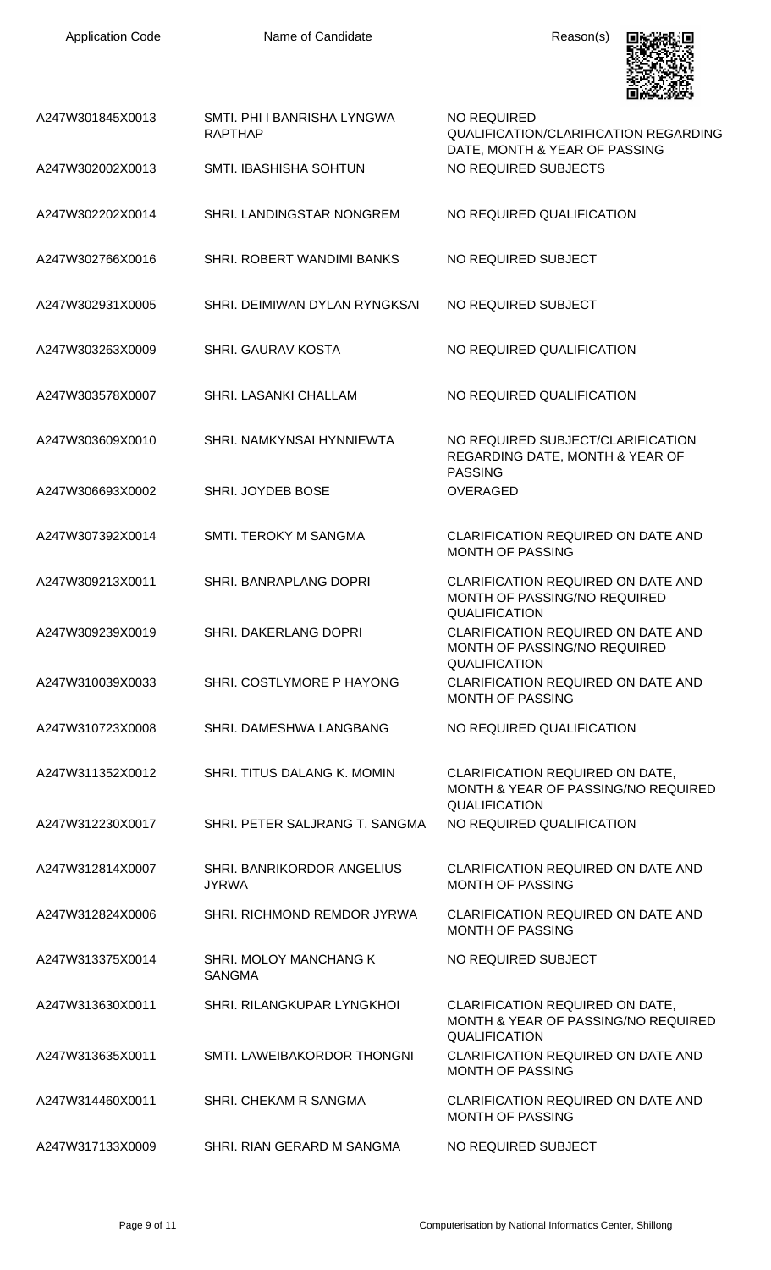

| A247W301845X0013 | SMTI. PHI I BANRISHA LYNGWA<br><b>RAPTHAP</b> | NO REQUIRED<br><b>QUALIFICATION/CLARIFICATION REGARDING</b><br>DATE, MONTH & YEAR OF PASSING          |
|------------------|-----------------------------------------------|-------------------------------------------------------------------------------------------------------|
| A247W302002X0013 | <b>SMTI. IBASHISHA SOHTUN</b>                 | NO REQUIRED SUBJECTS                                                                                  |
| A247W302202X0014 | SHRI. LANDINGSTAR NONGREM                     | NO REQUIRED QUALIFICATION                                                                             |
| A247W302766X0016 | SHRI. ROBERT WANDIMI BANKS                    | NO REQUIRED SUBJECT                                                                                   |
| A247W302931X0005 | SHRI. DEIMIWAN DYLAN RYNGKSAI                 | NO REQUIRED SUBJECT                                                                                   |
| A247W303263X0009 | <b>SHRI. GAURAV KOSTA</b>                     | NO REQUIRED QUALIFICATION                                                                             |
| A247W303578X0007 | <b>SHRI. LASANKI CHALLAM</b>                  | NO REQUIRED QUALIFICATION                                                                             |
| A247W303609X0010 | SHRI, NAMKYNSAI HYNNIEWTA                     | NO REQUIRED SUBJECT/CLARIFICATION<br>REGARDING DATE, MONTH & YEAR OF<br><b>PASSING</b>                |
| A247W306693X0002 | SHRI. JOYDEB BOSE                             | <b>OVERAGED</b>                                                                                       |
| A247W307392X0014 | <b>SMTI. TEROKY M SANGMA</b>                  | CLARIFICATION REQUIRED ON DATE AND<br><b>MONTH OF PASSING</b>                                         |
| A247W309213X0011 | SHRI. BANRAPLANG DOPRI                        | CLARIFICATION REQUIRED ON DATE AND<br>MONTH OF PASSING/NO REQUIRED<br><b>QUALIFICATION</b>            |
| A247W309239X0019 | <b>SHRI. DAKERLANG DOPRI</b>                  | <b>CLARIFICATION REQUIRED ON DATE AND</b><br>MONTH OF PASSING/NO REQUIRED<br>QUALIFICATION            |
| A247W310039X0033 | SHRI. COSTLYMORE P HAYONG                     | <b>CLARIFICATION REQUIRED ON DATE AND</b><br><b>MONTH OF PASSING</b>                                  |
| A247W310723X0008 | SHRI, DAMESHWA LANGBANG                       | NO REQUIRED QUALIFICATION                                                                             |
| A247W311352X0012 | SHRI. TITUS DALANG K. MOMIN                   | CLARIFICATION REQUIRED ON DATE,<br>MONTH & YEAR OF PASSING/NO REQUIRED<br><b>QUALIFICATION</b>        |
| A247W312230X0017 | SHRI. PETER SALJRANG T. SANGMA                | NO REQUIRED QUALIFICATION                                                                             |
| A247W312814X0007 | SHRI. BANRIKORDOR ANGELIUS<br><b>JYRWA</b>    | CLARIFICATION REQUIRED ON DATE AND<br><b>MONTH OF PASSING</b>                                         |
| A247W312824X0006 | SHRI. RICHMOND REMDOR JYRWA                   | <b>CLARIFICATION REQUIRED ON DATE AND</b><br><b>MONTH OF PASSING</b>                                  |
| A247W313375X0014 | SHRI. MOLOY MANCHANG K<br><b>SANGMA</b>       | NO REQUIRED SUBJECT                                                                                   |
| A247W313630X0011 | SHRI. RILANGKUPAR LYNGKHOI                    | <b>CLARIFICATION REQUIRED ON DATE,</b><br>MONTH & YEAR OF PASSING/NO REQUIRED<br><b>QUALIFICATION</b> |
| A247W313635X0011 | SMTI. LAWEIBAKORDOR THONGNI                   | CLARIFICATION REQUIRED ON DATE AND<br><b>MONTH OF PASSING</b>                                         |
| A247W314460X0011 | SHRI. CHEKAM R SANGMA                         | CLARIFICATION REQUIRED ON DATE AND<br><b>MONTH OF PASSING</b>                                         |
| A247W317133X0009 | SHRI. RIAN GERARD M SANGMA                    | NO REQUIRED SUBJECT                                                                                   |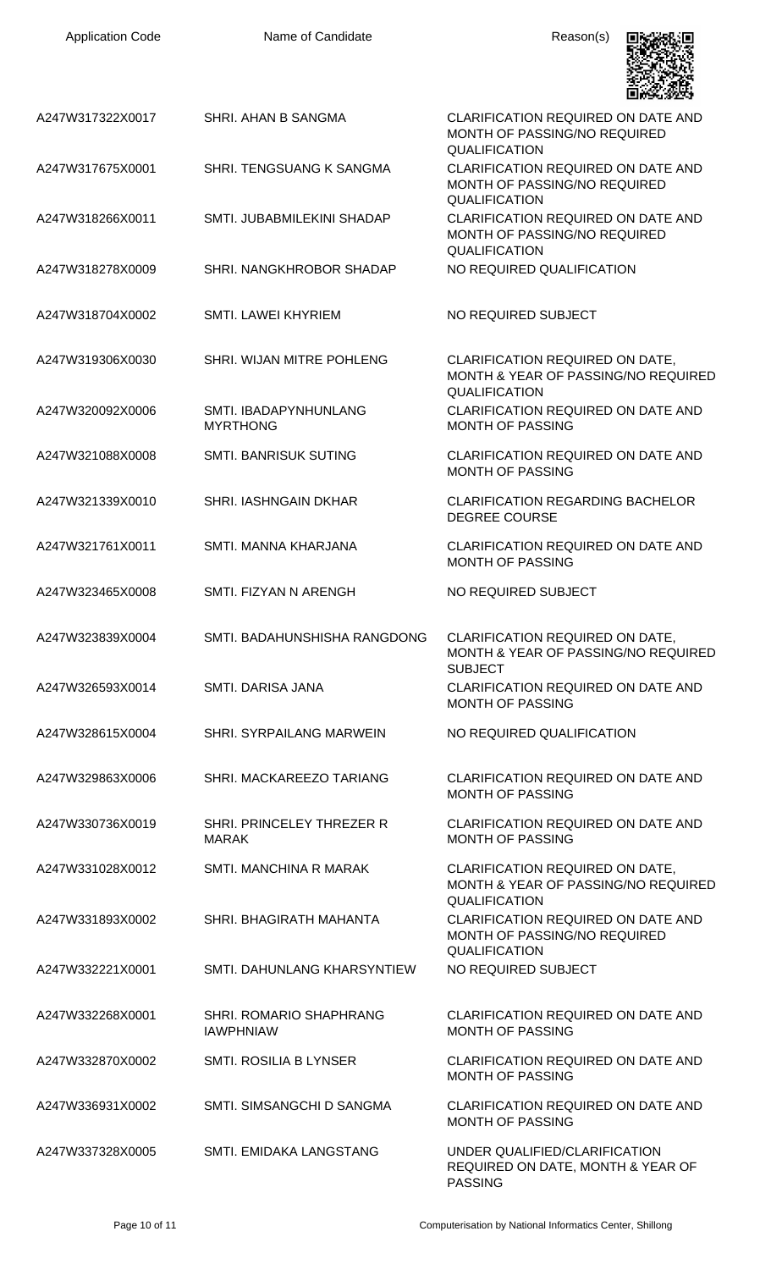| <b>Application Code</b> | Name of Candidate                           | Reason(s)                                                                                             |
|-------------------------|---------------------------------------------|-------------------------------------------------------------------------------------------------------|
| A247W317322X0017        | SHRI. AHAN B SANGMA                         | <b>CLARIFICATION REQUIRED ON DATE AND</b><br>MONTH OF PASSING/NO REQUIRED<br><b>QUALIFICATION</b>     |
| A247W317675X0001        | SHRI. TENGSUANG K SANGMA                    | CLARIFICATION REQUIRED ON DATE AND<br>MONTH OF PASSING/NO REQUIRED<br><b>QUALIFICATION</b>            |
| A247W318266X0011        | SMTI. JUBABMILEKINI SHADAP                  | <b>CLARIFICATION REQUIRED ON DATE AND</b><br>MONTH OF PASSING/NO REQUIRED<br><b>QUALIFICATION</b>     |
| A247W318278X0009        | SHRI. NANGKHROBOR SHADAP                    | NO REQUIRED QUALIFICATION                                                                             |
| A247W318704X0002        | SMTI. LAWEI KHYRIEM                         | NO REQUIRED SUBJECT                                                                                   |
| A247W319306X0030        | SHRI. WIJAN MITRE POHLENG                   | <b>CLARIFICATION REQUIRED ON DATE,</b><br>MONTH & YEAR OF PASSING/NO REQUIRED<br>QUALIFICATION        |
| A247W320092X0006        | SMTI. IBADAPYNHUNLANG<br><b>MYRTHONG</b>    | CLARIFICATION REQUIRED ON DATE AND<br><b>MONTH OF PASSING</b>                                         |
| A247W321088X0008        | <b>SMTI. BANRISUK SUTING</b>                | CLARIFICATION REQUIRED ON DATE AND<br><b>MONTH OF PASSING</b>                                         |
| A247W321339X0010        | <b>SHRI. IASHNGAIN DKHAR</b>                | <b>CLARIFICATION REGARDING BACHELOR</b><br><b>DEGREE COURSE</b>                                       |
| A247W321761X0011        | SMTI. MANNA KHARJANA                        | CLARIFICATION REQUIRED ON DATE AND<br><b>MONTH OF PASSING</b>                                         |
| A247W323465X0008        | SMTI. FIZYAN N ARENGH                       | NO REQUIRED SUBJECT                                                                                   |
| A247W323839X0004        | SMTI. BADAHUNSHISHA RANGDONG                | <b>CLARIFICATION REQUIRED ON DATE,</b><br>MONTH & YEAR OF PASSING/NO REQUIRED<br><b>SUBJECT</b>       |
| A247W326593X0014        | SMTI. DARISA JANA                           | <b>CLARIFICATION REQUIRED ON DATE AND</b><br><b>MONTH OF PASSING</b>                                  |
| A247W328615X0004        | <b>SHRI. SYRPAILANG MARWEIN</b>             | NO REQUIRED QUALIFICATION                                                                             |
| A247W329863X0006        | SHRI. MACKAREEZO TARIANG                    | <b>CLARIFICATION REQUIRED ON DATE AND</b><br><b>MONTH OF PASSING</b>                                  |
| A247W330736X0019        | SHRI. PRINCELEY THREZER R<br><b>MARAK</b>   | <b>CLARIFICATION REQUIRED ON DATE AND</b><br><b>MONTH OF PASSING</b>                                  |
| A247W331028X0012        | SMTI. MANCHINA R MARAK                      | <b>CLARIFICATION REQUIRED ON DATE,</b><br>MONTH & YEAR OF PASSING/NO REQUIRED<br><b>QUALIFICATION</b> |
| A247W331893X0002        | SHRI. BHAGIRATH MAHANTA                     | CLARIFICATION REQUIRED ON DATE AND<br>MONTH OF PASSING/NO REQUIRED<br><b>QUALIFICATION</b>            |
| A247W332221X0001        | SMTI. DAHUNLANG KHARSYNTIEW                 | NO REQUIRED SUBJECT                                                                                   |
| A247W332268X0001        | SHRI. ROMARIO SHAPHRANG<br><b>IAWPHNIAW</b> | <b>CLARIFICATION REQUIRED ON DATE AND</b><br><b>MONTH OF PASSING</b>                                  |
| A247W332870X0002        | <b>SMTI. ROSILIA B LYNSER</b>               | CLARIFICATION REQUIRED ON DATE AND<br><b>MONTH OF PASSING</b>                                         |
| A247W336931X0002        | SMTI. SIMSANGCHI D SANGMA                   | CLARIFICATION REQUIRED ON DATE AND<br><b>MONTH OF PASSING</b>                                         |
| A247W337328X0005        | SMTI. EMIDAKA LANGSTANG                     | UNDER OUALIFIED/CLARIFICATION<br>REQUIRED ON DATE, MONTH & YEAR OF                                    |

PASSING